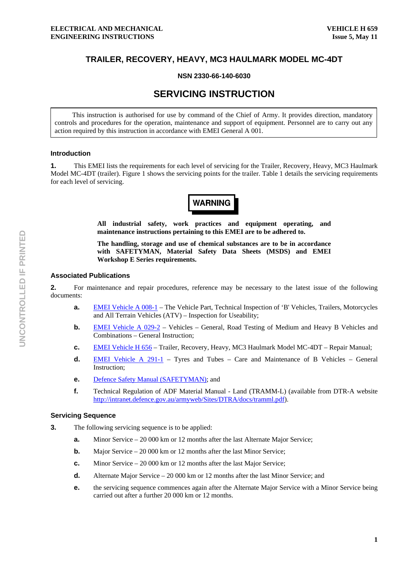# **TRAILER, RECOVERY, HEAVY, MC3 HAULMARK MODEL MC-4DT**

## **NSN 2330-66-140-6030**

# **SERVICING INSTRUCTION**

This instruction is authorised for use by command of the Chief of Army. It provides direction, mandatory controls and procedures for the operation, maintenance and support of equipment. Personnel are to carry out any action required by this instruction in accordance with EMEI General A 001.

#### **Introduction**

**1.** This EMEI lists the requirements for each level of servicing for the Trailer, Recovery, Heavy, MC3 Haulmark Model MC-4DT (trailer). Figure 1 shows the servicing points for the trailer. Table 1 details the servicing requirements for each level of servicing.



**All industrial safety, work practices and equipment operating, and maintenance instructions pertaining to this EMEI are to be adhered to.** 

**The handling, storage and use of chemical substances are to be in accordance with SAFETYMAN, Material Safety Data Sheets (MSDS) and EMEI Workshop E Series requirements.** 

## **Associated Publications**

**2.** For maintenance and repair procedures, reference may be necessary to the latest issue of the following documents:

- **a. EMEI Vehicle A 008-1** The Vehicle Part, Technical Inspection of 'B' Vehicles, Trailers, Motorcycles and All Terrain Vehicles (ATV) – Inspection for Useability;
- **b. EMEI Vehicle A 029-2** Vehicles General, Road Testing of Medium and Heavy B Vehicles and Combinations – General Instruction;
- **c.** EMEI Vehicle H 656 Trailer, Recovery, Heavy, MC3 Haulmark Model MC-4DT Repair Manual;
- **d.** EMEI Vehicle A 291-1 Tyres and Tubes Care and Maintenance of B Vehicles General Instruction;
- **e.** Defence Safety Manual (SAFETYMAN); and
- **f.** Technical Regulation of ADF Material Manual Land (TRAMM-L) (available from DTR-A website http://intranet.defence.gov.au/armyweb/Sites/DTRA/docs/tramml.pdf).

# **Servicing Sequence**

- **3.** The following servicing sequence is to be applied:
	- **a.** Minor Service 20 000 km or 12 months after the last Alternate Major Service;
	- **b.** Major Service 20 000 km or 12 months after the last Minor Service;
	- **c.** Minor Service 20 000 km or 12 months after the last Major Service;
	- **d.** Alternate Major Service 20 000 km or 12 months after the last Minor Service; and
	- **e. the servicing sequence commences again after the Alternate Major Service with a Minor Service being** carried out after a further 20 000 km or 12 months.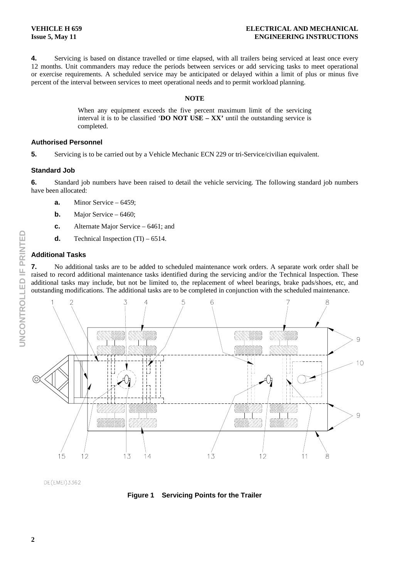**4.** Servicing is based on distance travelled or time elapsed, with all trailers being serviced at least once every 12 months. Unit commanders may reduce the periods between services or add servicing tasks to meet operational or exercise requirements. A scheduled service may be anticipated or delayed within a limit of plus or minus five percent of the interval between services to meet operational needs and to permit workload planning.

#### **NOTE**

When any equipment exceeds the five percent maximum limit of the servicing interval it is to be classified '**DO NOT USE – XX'** until the outstanding service is completed.

#### **Authorised Personnel**

**5.** Servicing is to be carried out by a Vehicle Mechanic ECN 229 or tri-Service/civilian equivalent.

## **Standard Job**

**6.** Standard job numbers have been raised to detail the vehicle servicing. The following standard job numbers have been allocated:

- **a.** Minor Service 6459;
- **b.** Major Service 6460;
- **c.** Alternate Major Service 6461; and
- **d.** Technical Inspection (TI) 6514.

# **Additional Tasks**

**7.** No additional tasks are to be added to scheduled maintenance work orders. A separate work order shall be raised to record additional maintenance tasks identified during the servicing and/or the Technical Inspection. These additional tasks may include, but not be limited to, the replacement of wheel bearings, brake pads/shoes, etc, and outstanding modifications. The additional tasks are to be completed in conjunction with the scheduled maintenance.



DE(EMEI)3362